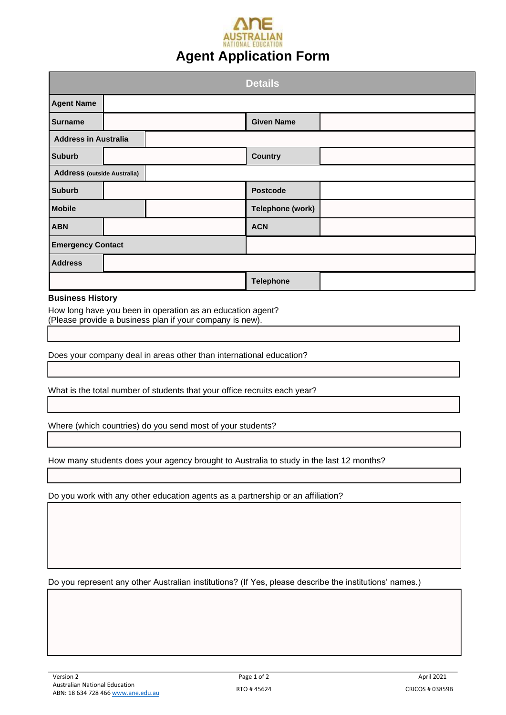# NATIONAL FOUCATION **Agent Application Form**

|                                    |  | <b>Details</b>    |  |  |
|------------------------------------|--|-------------------|--|--|
| <b>Agent Name</b>                  |  |                   |  |  |
| <b>Surname</b>                     |  | <b>Given Name</b> |  |  |
| <b>Address in Australia</b>        |  |                   |  |  |
| <b>Suburb</b>                      |  | <b>Country</b>    |  |  |
| <b>Address (outside Australia)</b> |  |                   |  |  |
| <b>Suburb</b>                      |  | <b>Postcode</b>   |  |  |
| <b>Mobile</b>                      |  | Telephone (work)  |  |  |
| <b>ABN</b>                         |  | <b>ACN</b>        |  |  |
| <b>Emergency Contact</b>           |  |                   |  |  |
| <b>Address</b>                     |  |                   |  |  |
|                                    |  | <b>Telephone</b>  |  |  |

#### **Business History**

How long have you been in operation as an education agent? (Please provide a business plan if your company is new).

Does your company deal in areas other than international education?

What is the total number of students that your office recruits each year?

Where (which countries) do you send most of your students?

How many students does your agency brought to Australia to study in the last 12 months?

Do you work with any other education agents as a partnership or an affiliation?

Do you represent any other Australian institutions? (If Yes, please describe the institutions' names.)